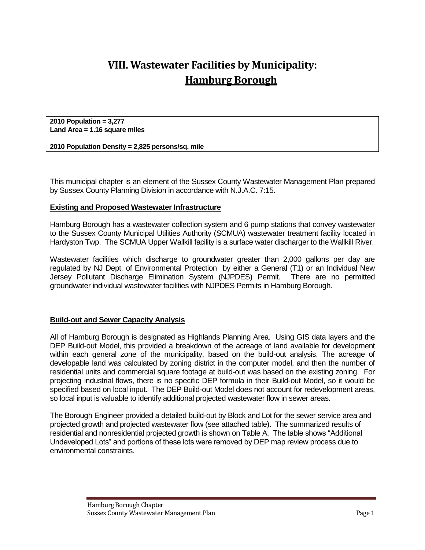## **VIII. Wastewater Facilities by Municipality: Hamburg Borough**

**2010 Population = 3,277 Land Area = 1.16 square miles**

**2010 Population Density = 2,825 persons/sq. mile**

This municipal chapter is an element of the Sussex County Wastewater Management Plan prepared by Sussex County Planning Division in accordance with N.J.A.C. 7:15.

## **Existing and Proposed Wastewater Infrastructure**

Hamburg Borough has a wastewater collection system and 6 pump stations that convey wastewater to the Sussex County Municipal Utilities Authority (SCMUA) wastewater treatment facility located in Hardyston Twp. The SCMUA Upper Wallkill facility is a surface water discharger to the Wallkill River.

Wastewater facilities which discharge to groundwater greater than 2,000 gallons per day are regulated by NJ Dept. of Environmental Protection by either a General (T1) or an Individual New Jersey Pollutant Discharge Elimination System (NJPDES) Permit. There are no permitted groundwater individual wastewater facilities with NJPDES Permits in Hamburg Borough.

## **Build-out and Sewer Capacity Analysis**

All of Hamburg Borough is designated as Highlands Planning Area. Using GIS data layers and the DEP Build-out Model, this provided a breakdown of the acreage of land available for development within each general zone of the municipality, based on the build-out analysis. The acreage of developable land was calculated by zoning district in the computer model, and then the number of residential units and commercial square footage at build-out was based on the existing zoning. For projecting industrial flows, there is no specific DEP formula in their Build-out Model, so it would be specified based on local input. The DEP Build-out Model does not account for redevelopment areas, so local input is valuable to identify additional projected wastewater flow in sewer areas.

The Borough Engineer provided a detailed build-out by Block and Lot for the sewer service area and projected growth and projected wastewater flow (see attached table). The summarized results of residential and nonresidential projected growth is shown on Table A. The table shows "Additional Undeveloped Lots" and portions of these lots were removed by DEP map review process due to environmental constraints.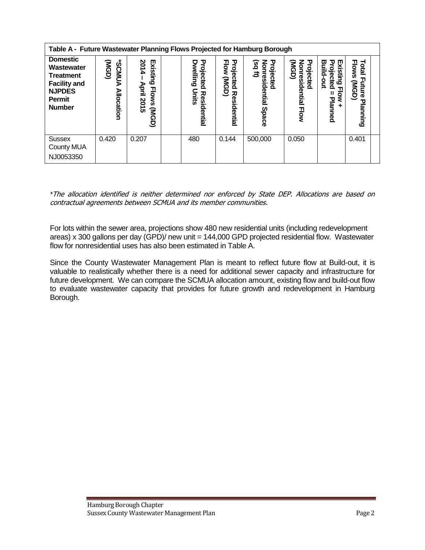| Table A - Future Wastewater Planning Flows Projected for Hamburg Borough                                                    |                                                 |                                                                                      |  |                                                           |                                                  |                                                                |                                                    |                                                                            |                                                                       |  |  |
|-----------------------------------------------------------------------------------------------------------------------------|-------------------------------------------------|--------------------------------------------------------------------------------------|--|-----------------------------------------------------------|--------------------------------------------------|----------------------------------------------------------------|----------------------------------------------------|----------------------------------------------------------------------------|-----------------------------------------------------------------------|--|--|
| <b>Domestic</b><br>Wastewater<br><b>Treatment</b><br><b>Facility and</b><br><b>NJPDES</b><br><b>Permit</b><br><b>Number</b> | <b>SCMUD</b><br>(USD)<br>ъ<br><b>Allocation</b> | 201<br>Existing<br>$\overline{\mathbf{4}}$<br>April<br><b>Flows</b><br>2015<br>(NGD) |  | Projected<br><b>Dwelling</b><br>Units<br>Resid<br>lential | Projected<br><b>Flow</b><br>(USD)<br>Residential | 공<br><u>ອິ</u><br>Ê<br>Φ<br>esidential<br>cted<br><b>Space</b> | Projected<br>(NGD)<br>Nonresidential<br><b>How</b> | Exis<br>υ<br>Build<br>o<br>ወ<br>ი<br>ont<br>ഥ<br><u>စွ</u><br>٥<br>Planned | <b>Flows</b><br><b>Total</b><br>ᆩ<br>(NGD)<br>ΕĒ<br>Φ<br>ᇃ<br>lanning |  |  |
| <b>Sussex</b><br><b>County MUA</b><br>NJ0053350                                                                             | 0.420                                           | 0.207                                                                                |  | 480                                                       | 0.144                                            | 500,000                                                        | 0.050                                              |                                                                            | 0.401                                                                 |  |  |

*\**The allocation identified is neither determined nor enforced by State DEP. Allocations are based on contractual agreements between SCMUA and its member communities.

For lots within the sewer area, projections show 480 new residential units (including redevelopment areas) x 300 gallons per day (GPD)/ new unit = 144,000 GPD projected residential flow. Wastewater flow for nonresidential uses has also been estimated in Table A.

Since the County Wastewater Management Plan is meant to reflect future flow at Build-out, it is valuable to realistically whether there is a need for additional sewer capacity and infrastructure for future development. We can compare the SCMUA allocation amount, existing flow and build-out flow to evaluate wastewater capacity that provides for future growth and redevelopment in Hamburg Borough.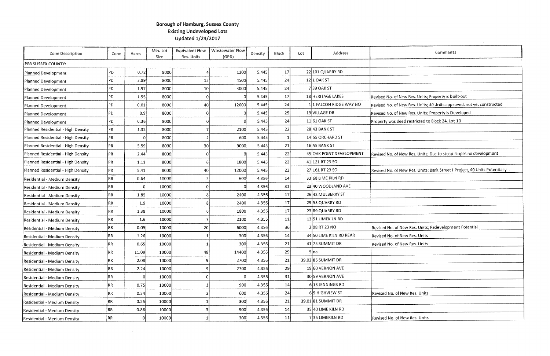## **Borough of Hamburg, Sussex County Existing Undeveloped Lots Updated 1/24/2017**

| <b>Zone Description</b>            | Zone           | Acres | Min. Lot<br>Size | <b>Equivalent New</b><br><b>Res. Units</b> | <b>Wastewater Flow</b><br>(GPD) | <b>Density</b> | Block | Lot | <b>Address</b>           |                    |
|------------------------------------|----------------|-------|------------------|--------------------------------------------|---------------------------------|----------------|-------|-----|--------------------------|--------------------|
| PER SUSSEX COUNTY:                 |                |       |                  |                                            |                                 |                |       |     |                          |                    |
| Planned Development                | PD             | 0.72  | 8000             |                                            | 1200                            | 5.445          | 17    |     | 22 101 QUARRY RD         |                    |
| Planned Development                | PD             | 2.89  | 8000             | 15                                         | 4500                            | 5.445          | 24    |     | $12$ 1 OAK ST            |                    |
| Planned Development                | PD             | 1.97  | 8000             | 10 <sup>1</sup>                            | 3000                            | 5.445          | 24    |     | 739 OAK ST               |                    |
| Planned Development                | PD             | 1.55  | 8000             | 0                                          | 0l                              | 5.445          | 17    |     | 18 HERITAGE LAKES        | Revised No. of Net |
| Planned Development                | PD             | 0.01  | 8000             | 40                                         | 12000                           | 5.445          | 24    |     | 1 1 FALCON RIDGE WAY NO  | Revised No. of Net |
| Planned Development                | PD             | 0.9   | 8000             | Οl                                         | $\overline{0}$                  | 5.445          | 25    |     | 19 VILLAGE DR            | Revised No. of Ne  |
| Planned Development                | PD             | 0.36  | 8000             | 0l                                         |                                 | 5.445          | 24    |     | 11 61 OAK ST             | Property was deed  |
| Planned Residential - High Density | PR             | 1.32  | 8000             |                                            | 2100                            | 5.445          | 22    |     | 28 43 BANK ST            |                    |
| Planned Residential - High Density | PR             |       | 8000             |                                            | 600                             | 5.445          |       |     | 14 55 ORCHARD ST         |                    |
| Planned Residential - High Density | PR             | 5.59  | 8000             | 30 <sub>l</sub>                            | 9000                            | 5.445          | 21    |     | 16 55 BANK ST            |                    |
| Planned Residential - High Density | PR)            | 2.44  | 8000             | 0l                                         | 0                               | 5.445          | 22    |     | 45 OAK POINT DEVELOPMENT | Revised No. of Ne  |
| Planned Residential - High Density | PR             | 1.11  | 8000             | 6                                          | 1800                            | 5.445          | 22    |     | 41 121 RT 23 SO          |                    |
| Planned Residential - High Density | PR.            | 5.41  | 8000             | 40                                         | 12000                           | 5.445          | 22    |     | 27 161 RT 23 SO          | Revised No. of Ne  |
| Residential - Medium Density       | RR!            | 0.64  | 10000            | 2                                          | 600                             | 4.356          | 14    |     | 33 68 LIME KILN RD       |                    |
| Residential - Medium Density       | RR             |       | 10000            | 0                                          | Ω                               | 4.356          | 31    |     | 23 40 WOODLAND AVE       |                    |
| Residential - Medium Density       | RR             | 1.85  | 10000            | 8                                          | 2400                            | 4.356          | 17    |     | 26 42 MULBERRY ST        |                    |
| Residential - Medium Density       | RR             | 1.9   | 10000            | 8                                          | 2400                            | 4.356          | 17    |     | 29 53 QUARRY RD          |                    |
| Residential - Medium Density       | RR             | 1.38  | 10000            | 6                                          | 1800                            | 4.356          | 17    |     | 23 89 QUARRY RD          |                    |
| Residential - Medium Density       | RR             | 1.6   | 10000            |                                            | 2100                            | 4.356          | 11    |     | 13 51 LIMEKILN RD        |                    |
| Residential - Medium Density       | R <sub>R</sub> | 0.05  | 10000            | 20                                         | 6000                            | 4.356          | 36    |     | 2 98 RT 23 NO            | Revised No. of Ne  |
| Residential - Medium Density       | <b>RR</b>      | 1.26  | 10000            |                                            | 300                             | 4.356          | 14    |     | 34 50 LIME KILN RD REAR  | Revised No. of Ne  |
| Residential - Medium Density       | RR             | 0.65  | 10000            |                                            | 300                             | 4.356          | 21    |     | 41 75 SUMMIT DR          | Revised No. of Ne  |
| Residential - Medium Density       | RR.            | 11.09 | 10000            | 48                                         | 14400                           | 4.356          | 29    |     | 5 na                     |                    |
| Residential - Medium Density       | RR             | 2.08  | 10000            | 9                                          | 2700                            | 4.356          | 21    |     | 39.02 85 SUMMIT DR       |                    |
| Residential - Medium Density       | RR             | 2.24  | 10000            | 9                                          | 2700                            | 4.356          | 29    |     | 19 60 VERNON AVE         |                    |
| Residential - Medium Density       | RR             |       | 10000            | 0                                          | 0                               | 4 3 5 6        | 31    |     | 30 59 VERNON AVE         |                    |
| Residential - Medium Density       | RR             | 0.75  | 10000            | З                                          | 900                             | 4.356          | 14    |     | 613 JENNINGS RD          |                    |
| Residential - Medium Density       | RR             | 0.34  | 10000            |                                            | 600                             | 4.356          | 24    |     | 69 HIGHVIEW ST           | Revised No. of Ne  |
| Residential - Medium Density       | RR             | 0.25  | 10000            |                                            | 300                             | 4.356          | 21    |     | 39.0181 SUMMIT DR        |                    |
| Residential - Medium Density       | $\mathsf{RR}$  | 0.86  | 10000            |                                            | 900                             | 4.356          | 14    |     | 35 40 LIME KILN RD       |                    |
| Residential - Medium Density       | RR             | 0     | 10000            |                                            | 300                             | 4.356          | 11    |     | 735 LIMEKILN RD          | Revised No. of Ne  |

| Comments                                                   |
|------------------------------------------------------------|
|                                                            |
|                                                            |
|                                                            |
|                                                            |
| w Res. Units; Property is built-out:                       |
| w Res. Units; 40 Units approved, not yet constructed:      |
| w Res. Units; Property is Developed                        |
| d restricted to Block 24, Lot 10                           |
|                                                            |
|                                                            |
|                                                            |
| ew Res. Units; Due to steep slopes no development          |
|                                                            |
| ew Res. Units; Bank Street I Project, 40 Units Potentially |
|                                                            |
|                                                            |
|                                                            |
|                                                            |
|                                                            |
|                                                            |
| ew Res. Units; Redevelopment Potential                     |
| ew Res. Units                                              |
| ew Res. Units                                              |
|                                                            |
|                                                            |
|                                                            |
|                                                            |
|                                                            |
| ew Res. Units                                              |
|                                                            |
| ew Res. Units                                              |
|                                                            |

 $\sim 10^{-1}$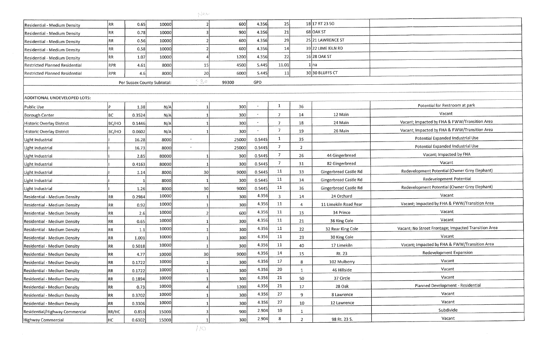|                                       |       |        |                             | $\langle \cdot, \cdot \rangle \otimes \langle \cdot, \cdot \rangle$ |                  |         |                |             |                              |                                                      |
|---------------------------------------|-------|--------|-----------------------------|---------------------------------------------------------------------|------------------|---------|----------------|-------------|------------------------------|------------------------------------------------------|
| Residential - Medium Density          | RR.   | 0.65   | 10000                       |                                                                     | 600              | 4.356   | 25             |             | $18 17$ RT 23 SO             |                                                      |
| Residential - Medium Density          | RR    | 0.78   | 10000                       |                                                                     | 900              | 4.356   | 21             |             | 68 OAK ST                    |                                                      |
| Residential - Medium Density          | RR)   | 0.56   | 10000                       |                                                                     | 600              | 4.356   | 29             |             | 25 21 LAWRENCE ST            |                                                      |
| Residential - Medium Density          | RR.   | 0.58   | 10000                       |                                                                     | 600              | 4.356   | 14             |             | 39 22 LIME KILN RD           |                                                      |
| Residential - Medium Density          | RR.   | 1.07   | 10000                       |                                                                     | 1200             | 4.356   | 22             |             | 16 28 OAK ST                 |                                                      |
| Restricted Planned Residential        | RPR   | 4.61   | 8000                        | 15                                                                  | 4500             | 5.445   | 11.01          |             | 1 na                         |                                                      |
| <b>Restricted Planned Residential</b> | RPR   | 46     | 8000                        | 20                                                                  | 6000             | 5.445   | 11             |             | 3030 BLUFFS CT               |                                                      |
|                                       |       |        | Per Sussex County Subtotal: | 520                                                                 | 99300            | GPD     |                |             |                              |                                                      |
|                                       |       |        |                             |                                                                     |                  |         |                |             |                              |                                                      |
| <b>ADDITIONAL UNDEVELOPED LOTS:</b>   |       |        |                             |                                                                     |                  |         |                |             |                              |                                                      |
| Public Use                            |       | 1.38   | N/A                         |                                                                     | 300              |         | $\mathbf{1}$   | 36          |                              | Potential for Restroom at park                       |
| <b>Borough Center</b>                 | [BC]  | 0.3524 | N/A                         |                                                                     | 300              |         |                | 14          | 12 Main                      | Vacant                                               |
| Historic Overlay District             | BC/HO | 0.1446 | N/A                         |                                                                     | 300              |         |                | 18          | 24 Main                      | Vacant; Impacted by FHA & FWW/Transition Area        |
| Historic Overlay District             | BC/HO | 0.0602 | N/A                         |                                                                     | 300              |         | $\overline{7}$ | 19          | 26 Main                      | Vacant; Impacted by FHA & FWW/Transition Area        |
| Light Industrial                      |       | 16.28  | 8000                        |                                                                     | 25000            | 0.5445  |                | 35          |                              | Potential Expanded Industrial Use                    |
| Light Industrial                      |       | 16.73  | 8000                        |                                                                     | 25000            | 0.5445  | 7              | -2          |                              | Potential Expanded Industrial Use                    |
| Light Industrial                      |       | 2.85   | 80000                       |                                                                     | 300              | 0.5445  | 7              | 26          | 44 Gingerbread               | Vacant; Impacted by FHA                              |
| Light Industrial                      |       | 0.4163 | 80000                       |                                                                     | 300 <sup>1</sup> | 0.5445  | 7              | 31          | 82 Gingerbread               | Vacant                                               |
| Light Industrial                      |       | 1.14   | 8000                        | 30                                                                  | 9000             | 0.5445  | 11             | 33          | Gingerbread Castle Rd        | Redevelopment Potential (Owner Grey Elephant)        |
| Light Industrial                      |       |        | 8000                        |                                                                     | 300              | 0.5445  | 11             | 34          | Gingerbread Castle Rd        | Redevelopment Potential                              |
| Light Industrial                      |       | 1.26   | 8000                        | 30                                                                  | 9000             | 0.5445  | 11             | 36          | <b>Gingerbread Castle Rd</b> | Redevelopment Potential (Owner Grey Elephant)        |
| Residential - Medium Density          | RR    | 0.2984 | 10000                       |                                                                     | 300              | 4 3 5 6 | 3              | 14          | 24 Orchard                   | Vacant                                               |
| Residential - Medium Density          | IRR.  | 0.92   | 10000                       |                                                                     | 300              | 4.356   | 11             | 4           | 11 Limekiln Road Rear        | Vacant; Impacted by FHA & FWW/Transition Area        |
| Residential - Medium Density          | RR    | 2.6    | 10000                       |                                                                     | 600              | 4.356   | 11             | 15          | 34 Prince                    | Vacant                                               |
| Residential - Medium Density          | RR)   | 0.65   | 10000                       |                                                                     | 300              | 4.356   | 11             | 21          | 36 King Cole                 | Vacant                                               |
| Residential - Medium Density          | RR.   | 1.1    | 10000                       |                                                                     | 300              | 4 3 5 6 | 11             | 22          | 32 Rear King Cole            | Vacant; No Street Frontage; Impacted Transition Area |
| Residential - Medium Density          | RR    | 1.001  | 10000                       |                                                                     | 300              | 4.356   | 11             | 23          | 30 King Cole                 | Vacant                                               |
| Residential - Medium Density          | RR    | 0.5018 | 10000                       |                                                                     | 300              | 4 3 5 6 | 11             | 40          | 17 Limekiln                  | Vacant; Impacted by FHA & FWW/Transition Area        |
| Residential - Medium Density          | RR.   | 4.77   | 10000                       | 30                                                                  | 9000             | 4.356   | 14             | 15          | Rt. 23                       | Redevelopment Expansion                              |
| Residential - Medium Density          | RR.   | 0.1722 | 10000                       |                                                                     | 300              | 4.356   | 17             | 8           | 102 Mulberry                 | Vacant                                               |
| Residential - Medium Density          | RR    | 0.1722 | 10000                       |                                                                     | 300              | 4.356   | 20             |             | 46 Hillside                  | Vacant                                               |
| Residential - Medium Density          | RR    | 0.1894 | 10000                       |                                                                     | 300              | 4.356   | 21             | 50          | 37 Circle                    | Vacant                                               |
| Residential - Medium Density          | RR    | 0.73   | 10000                       |                                                                     | 1200             | 4.356   | 21             | 17          | 28 Oak                       | Planned Development - Residential                    |
| Residential - Medium Density          | RR.   | 0.3702 | 10000                       |                                                                     | 300              | 4 3 5 6 | 27             | 9           | 8 Lawrence                   | Vacant                                               |
| Residential - Medium Density          | RR.   | 0.3306 | 10000                       |                                                                     | 300              | 4.356   | 27             | 10          | 12 Lawrence                  | Vacant                                               |
| Residential/Highway Commercial        | RR/HC | 0.853  | 15000                       |                                                                     | 900              | 2 9 0 4 | 10             | - 1         |                              | Subdivide                                            |
| Highway Commercial                    | HC    | 0.6302 | 15000                       |                                                                     | 300              | 2.904   | 8              | $2^{\circ}$ | 98 Rt. 23 S.                 | Vacant                                               |